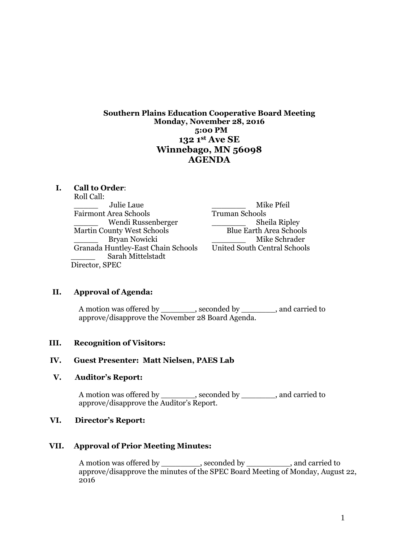**Southern Plains Education Cooperative Board Meeting Monday, November 28, 2016 5:00 PM 132 1st Ave SE Winnebago, MN 56098 AGENDA** 

#### **I. Call to Order**:

Roll Call: \_\_\_\_\_ Julie Laue \_\_\_\_\_\_\_ Mike Pfeil Fairmont Area Schools \_\_\_\_\_ Wendi Russenberger \_\_\_\_\_\_\_ Sheila Ripley Martin County West Schools Blue Earth Area Schools Granada Huntley-East Chain Schools United South Central Schools \_\_\_\_\_ Sarah Mittelstadt Director, SPEC

Bryan Nowicki **Example 2018** Mike Schrader

#### **II. Approval of Agenda:**

A motion was offered by \_\_\_\_\_\_\_, seconded by \_\_\_\_\_\_\_, and carried to approve/disapprove the November 28 Board Agenda.

#### **III. Recognition of Visitors:**

#### **IV. Guest Presenter: Matt Nielsen, PAES Lab**

#### **V. Auditor's Report:**

A motion was offered by \_\_\_\_\_\_\_, seconded by \_\_\_\_\_\_, and carried to approve/disapprove the Auditor's Report.

#### **VI. Director's Report:**

#### **VII. Approval of Prior Meeting Minutes:**

A motion was offered by \_\_\_\_\_\_\_\_, seconded by \_\_\_\_\_\_\_\_\_, and carried to approve/disapprove the minutes of the SPEC Board Meeting of Monday, August 22, 2016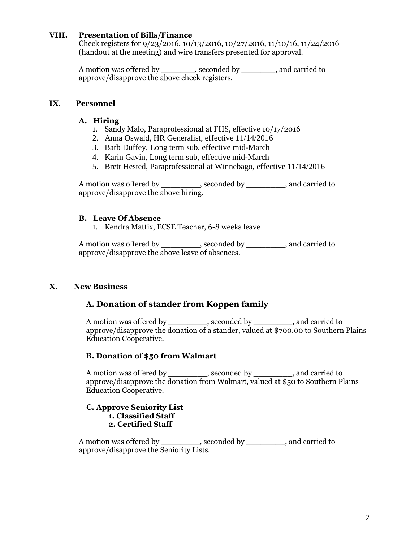## **VIII. Presentation of Bills/Finance**

Check registers for 9/23/2016, 10/13/2016, 10/27/2016, 11/10/16, 11/24/2016 (handout at the meeting) and wire transfers presented for approval.

A motion was offered by \_\_\_\_\_\_\_, seconded by \_\_\_\_\_\_\_, and carried to approve/disapprove the above check registers.

## **IX**. **Personnel**

## **A. Hiring**

- 1. Sandy Malo, Paraprofessional at FHS, effective 10/17/2016
- 2. Anna Oswald, HR Generalist, effective 11/14/2016
- 3. Barb Duffey, Long term sub, effective mid-March
- 4. Karin Gavin, Long term sub, effective mid-March
- 5. Brett Hested, Paraprofessional at Winnebago, effective 11/14/2016

A motion was offered by \_\_\_\_\_\_\_\_, seconded by \_\_\_\_\_\_\_\_, and carried to approve/disapprove the above hiring.

## **B. Leave Of Absence**

1. Kendra Mattix, ECSE Teacher, 6-8 weeks leave

A motion was offered by \_\_\_\_\_\_\_\_, seconded by \_\_\_\_\_\_\_\_, and carried to approve/disapprove the above leave of absences.

## **X. New Business**

## **A. Donation of stander from Koppen family**

A motion was offered by \_\_\_\_\_\_\_\_, seconded by \_\_\_\_\_\_\_, and carried to approve/disapprove the donation of a stander, valued at \$700.00 to Southern Plains Education Cooperative.

## **B. Donation of \$50 from Walmart**

A motion was offered by example by  $\Box$ , seconded by  $\Box$ , and carried to approve/disapprove the donation from Walmart, valued at \$50 to Southern Plains Education Cooperative.

#### **C. Approve Seniority List 1. Classified Staff 2. Certified Staff**

A motion was offered by example, seconded by example, and carried to approve/disapprove the Seniority Lists.